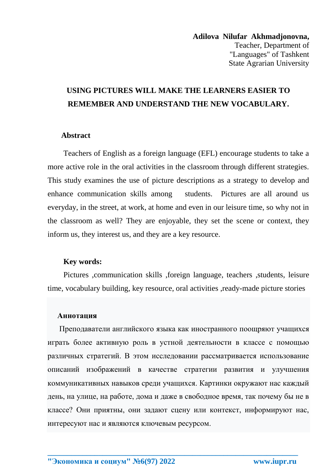**Adilova Nilufar Akhmadjonovna,** Teacher, Department of "Languages" of Tashkent State Agrarian University

# **USING PICTURES WILL MAKE THE LEARNERS EASIER TO REMEMBER AND UNDERSTAND THE NEW VOCABULARY.**

#### **Abstract**

Teachers of English as a foreign language (EFL) encourage students to take a more active role in the oral activities in the classroom through different strategies. This study examines the use of picture descriptions as a strategy to develop and enhance communication skills among students. Pictures are all around us everyday, in the street, at work, at home and even in our leisure time, so why not in the classroom as well? They are enjoyable, they set the scene or context, they inform us, they interest us, and they are a key resource.

#### **Key words:**

Pictures ,communication skills ,foreign language, teachers ,students, leisure time, vocabulary building, key resource, oral activities ,ready-made picture stories

#### **Аннотация**

 Преподаватели английского языка как иностранного поощряют учащихся играть более активную роль в устной деятельности в классе с помощью различных стратегий. В этом исследовании рассматривается использование описаний изображений в качестве стратегии развития и улучшения коммуникативных навыков среди учащихся. Картинки окружают нас каждый день, на улице, на работе, дома и даже в свободное время, так почему бы не в классе? Они приятны, они задают сцену или контекст, информируют нас, интересуют нас и являются ключевым ресурсом.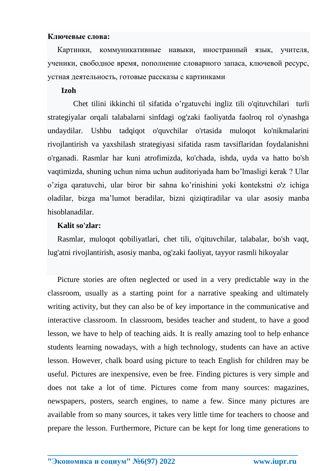## **Ключевые слова:**

 Картинки, коммуникативные навыки, иностранный язык, учителя, ученики, свободное время, пополнение словарного запаса, ключевой ресурс, устная деятельность, готовые рассказы с картинками

## **Izoh**

Chet tilini ikkinchi til sifatida o'rgatuvchi ingliz tili o'qituvchilari turli strategiyalar orqali talabalarni sinfdagi og'zaki faoliyatda faolroq rol o'ynashga undaydilar. Ushbu tadqiqot o'quvchilar o'rtasida muloqot ko'nikmalarini rivojlantirish va yaxshilash strategiyasi sifatida rasm tavsiflaridan foydalanishni o'rganadi. Rasmlar har kuni atrofimizda, ko'chada, ishda, uyda va hatto bo'sh vaqtimizda, shuning uchun nima uchun auditoriyada ham bo'lmasligi kerak ? Ular o'ziga qaratuvchi, ular biror bir sahna ko'rinishini yoki kontekstni o'z ichiga oladilar, bizga ma'lumot beradilar, bizni qiziqtiradilar va ular asosiy manba hisoblanadilar.

# **Kalit so'zlar:**

 Rasmlar, muloqot qobiliyatlari, chet tili, o'qituvchilar, talabalar, bo'sh vaqt, lug'atni rivojlantirish, asosiy manba, og'zaki faoliyat, tayyor rasmli hikoyalar

 Picture stories are often neglected or used in a very predictable way in the classroom, usually as a starting point for a narrative speaking and ultimately writing activity, but they can also be of key importance in the communicative and interactive classroom. In classroom, besides teacher and student, to have a good lesson, we have to help of teaching aids. It is really amazing tool to help enhance students learning nowadays, with a high technology, students can have an active lesson. However, chalk board using picture to teach English for children may be useful. Pictures are inexpensive, even be free. Finding pictures is very simple and does not take a lot of time. Pictures come from many sources: magazines, newspapers, posters, search engines, to name a few. Since many pictures are available from so many sources, it takes very little time for teachers to choose and prepare the lesson. Furthermore, Picture can be kept for long time generations to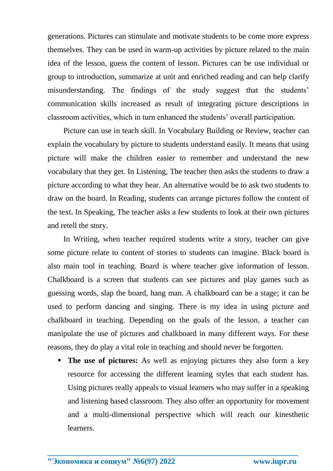generations. Pictures can stimulate and motivate students to be come more express themselves. They can be used in warm-up activities by picture related to the main idea of the lesson, guess the content of lesson. Pictures can be use individual or group to introduction, summarize at unit and enriched reading and can help clarify misunderstanding. The findings of the study suggest that the students' communication skills increased as result of integrating picture descriptions in classroom activities, which in turn enhanced the students' overall participation.

Picture can use in teach skill. In Vocabulary Building or Review, teacher can explain the vocabulary by picture to students understand easily. It means that using picture will make the children easier to remember and understand the new vocabulary that they get. In Listening, The teacher then asks the students to draw a picture according to what they hear. An alternative would be to ask two students to draw on the board. In Reading, students can arrange pictures follow the content of the text. In Speaking, The teacher asks a few students to look at their own pictures and retell the story.

In Writing, when teacher required students write a story, teacher can give some picture relate to content of stories to students can imagine. Black board is also main tool in teaching. Board is where teacher give information of lesson. Chalkboard is a screen that students can see pictures and play games such as guessing words, slap the board, hang man. A chalkboard can be a stage; it can be used to perform dancing and singing. There is my idea in using picture and chalkboard in teaching. Depending on the goals of the lesson, a teacher can manipulate the use of pictures and chalkboard in many different ways. For these reasons, they do play a vital role in teaching and should never be forgotten.

**The use of pictures:** As well as enjoying pictures they also form a key resource for accessing the different learning styles that each student has. Using pictures really appeals to visual learners who may suffer in a speaking and listening based classroom. They also offer an opportunity for movement and a multi-dimensional perspective which will reach our kinesthetic learners.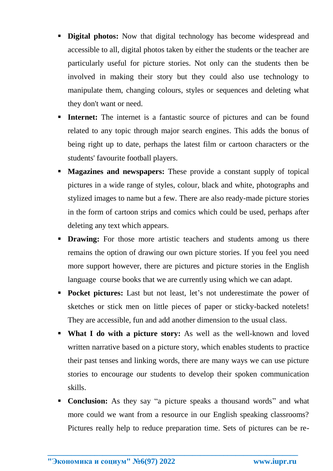- **Digital photos:** Now that digital technology has become widespread and accessible to all, digital photos taken by either the students or the teacher are particularly useful for picture stories. Not only can the students then be involved in making their story but they could also use technology to manipulate them, changing colours, styles or sequences and deleting what they don't want or need.
- **Internet:** The internet is a fantastic source of pictures and can be found related to any topic through major search engines. This adds the bonus of being right up to date, perhaps the latest film or cartoon characters or the students' favourite football players.
- **Magazines and newspapers:** These provide a constant supply of topical pictures in a wide range of styles, colour, black and white, photographs and stylized images to name but a few. There are also ready-made picture stories in the form of cartoon strips and comics which could be used, perhaps after deleting any text which appears.
- **Drawing:** For those more artistic teachers and students among us there remains the option of drawing our own picture stories. If you feel you need more support however, there are pictures and picture stories in the English language course books that we are currently using which we can adapt.
- **Pocket pictures:** Last but not least, let's not underestimate the power of sketches or stick men on little pieces of paper or sticky-backed notelets! They are accessible, fun and add another dimension to the usual class.
- **What I do with a picture story:** As well as the well-known and loved written narrative based on a picture story, which enables students to practice their past tenses and linking words, there are many ways we can use picture stories to encourage our students to develop their spoken communication skills.
- **Conclusion:** As they say "a picture speaks a thousand words" and what more could we want from a resource in our English speaking classrooms? Pictures really help to reduce preparation time. Sets of pictures can be re-